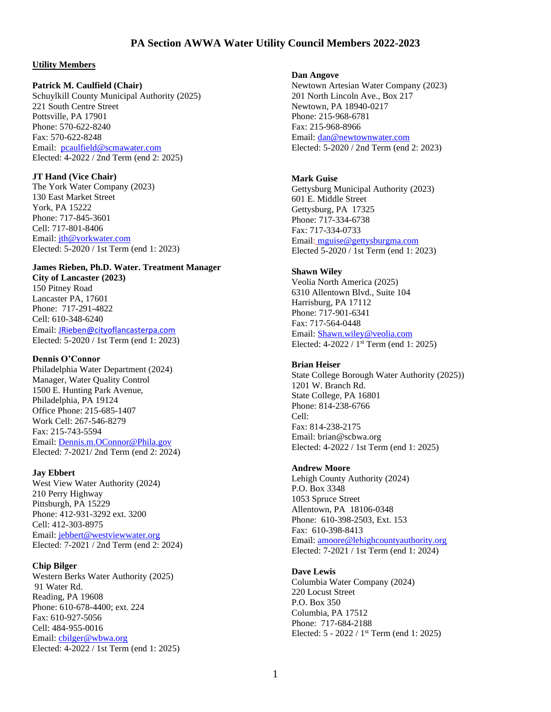# **PA Section AWWA Water Utility Council Members 2022-2023**

## **Utility Members**

### **Patrick M. Caulfield (Chair)**

Schuylkill County Municipal Authority (2025) 221 South Centre Street Pottsville, PA 17901 Phone: 570-622-8240 Fax: 570-622-8248 Email: [pcaulfield@scmawater.com](mailto:pcaulfield@scmawater.com) Elected: 4-2022 / 2nd Term (end 2: 2025)

#### **JT Hand (Vice Chair)**

The York Water Company (2023) 130 East Market Street York, PA 15222 Phone: 717-845-3601 Cell: 717-801-8406 Email: [jth@yorkwater.com](mailto:jth@yorkwater.com) Elected: 5-2020 / 1st Term (end 1: 2023)

## **James Rieben, Ph.D. Water. Treatment Manager**

**City of Lancaster (2023)** 150 Pitney Road Lancaster PA, 17601 Phone: 717-291-4822 Cell: 610-348-6240 Email: [JRieben@cityoflancasterpa.com](mailto:JRieben@cityoflancasterpa.com) Elected: 5-2020 / 1st Term (end 1: 2023)

## **Dennis O'Connor**

Philadelphia Water Department (2024) Manager, Water Quality Control 1500 E. Hunting Park Avenue, Philadelphia, PA 19124 Office Phone: 215-685-1407 Work Cell: 267-546-8279 Fax: 215-743-5594 Email: Dennis.m.OConnor@Phila.gov Elected: 7-2021/ 2nd Term (end 2: 2024)

#### **Jay Ebbert**

West View Water Authority (2024) 210 Perry Highway Pittsburgh, PA 15229 Phone: 412-931-3292 ext. 3200 Cell: 412-303-8975 Email: [jebbert@westviewwater.org](mailto:jebbert@westviewwater.org) Elected: 7-2021 / 2nd Term (end 2: 2024)

#### **Chip Bilger**

Western Berks Water Authority (2025) 91 Water Rd. Reading, PA 19608 Phone: 610-678-4400; ext. 224 Fax: 610-927-5056 Cell: 484-955-0016 Email: [cbilger@wbwa.org](mailto:cbilger@wbwa.org) Elected: 4-2022 / 1st Term (end 1: 2025)

#### **Dan Angove**

Newtown Artesian Water Company (2023) 201 North Lincoln Ave., Box 217 Newtown, PA 18940-0217 Phone: 215-968-6781 Fax: 215-968-8966 Email: [dan@newtownwater.com](mailto:dan@newtownwater.com) Elected: 5-2020 / 2nd Term (end 2: 2023)

## **Mark Guise**

Gettysburg Municipal Authority (2023) 601 E. Middle Street Gettysburg, PA 17325 Phone: 717-334-6738 Fax: 717-334-0733 Email[:](mailto:) [mguise@gettysburgma.com](mailto:mguise@gettysburgma.com) Elected 5-2020 / 1st Term (end 1: 2023)

### **Shawn Wiley**

Veolia North America (2025) 6310 Allentown Blvd., Suite 104 Harrisburg, PA 17112 Phone: 717-901-6341 Fax: 717-564-0448 Email: Shawn.wiley@veolia.com Elected: 4-2022 / 1<sup>st</sup> Term (end 1: 2025)

### **Brian Heiser**

State College Borough Water Authority (2025)) 1201 W. Branch Rd. State College, PA 16801 Phone: 814-238-6766 Cell: Fax: 814-238-2175 Email: brian@scbwa.org Elected: 4-2022 / 1st Term (end 1: 2025)

#### **Andrew Moore**

Lehigh County Authority (2024) P.O. Box 3348 1053 Spruce Street Allentown, PA 18106-0348 Phone: 610-398-2503, Ext. 153 Fax: 610-398-8413 Email: [amoore@lehighcountyauthority.org](mailto:amoore@lehighcountyauthority.org) Elected: 7-2021 / 1st Term (end 1: 2024)

#### **Dave Lewis**

Columbia Water Company (2024) 220 Locust Street P.O. Box 350 Columbia, PA 17512 Phone: 717-684-2188 Elected: 5 - 2022 / 1<sup>st</sup> Term (end 1: 2025)